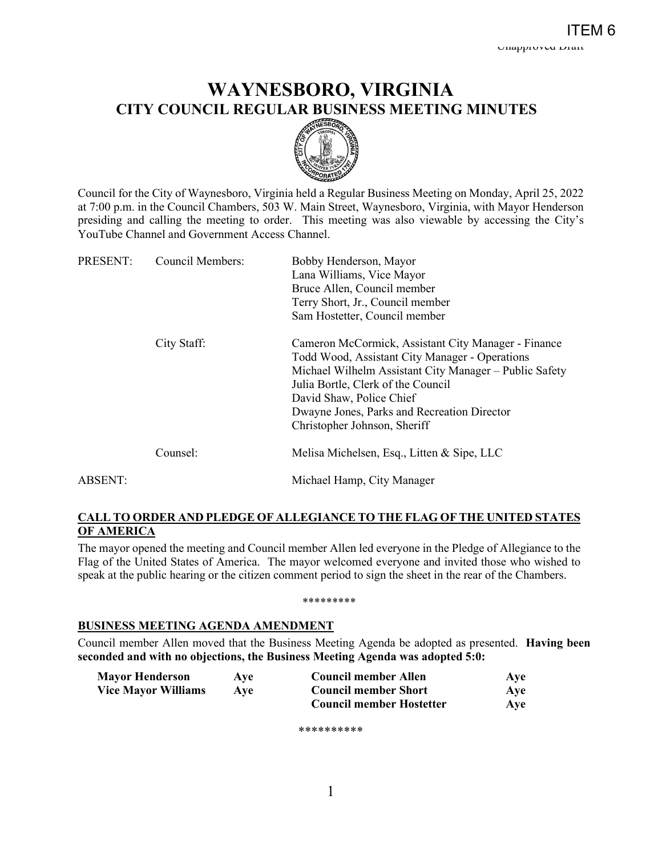# **WAYNESBORO, VIRGINIA CITY COUNCIL REGULAR BUSINESS MEETING MINUTES**



Council for the City of Waynesboro, Virginia held a Regular Business Meeting on Monday, April 25, 2022 at 7:00 p.m. in the Council Chambers, 503 W. Main Street, Waynesboro, Virginia, with Mayor Henderson presiding and calling the meeting to order. This meeting was also viewable by accessing the City's YouTube Channel and Government Access Channel.

| PRESENT: | <b>Council Members:</b> | Bobby Henderson, Mayor<br>Lana Williams, Vice Mayor<br>Bruce Allen, Council member<br>Terry Short, Jr., Council member<br>Sam Hostetter, Council member                                                                                                                                                          |
|----------|-------------------------|------------------------------------------------------------------------------------------------------------------------------------------------------------------------------------------------------------------------------------------------------------------------------------------------------------------|
|          | City Staff:             | Cameron McCormick, Assistant City Manager - Finance<br>Todd Wood, Assistant City Manager - Operations<br>Michael Wilhelm Assistant City Manager - Public Safety<br>Julia Bortle, Clerk of the Council<br>David Shaw, Police Chief<br>Dwayne Jones, Parks and Recreation Director<br>Christopher Johnson, Sheriff |
|          | Counsel:                | Melisa Michelsen, Esq., Litten & Sipe, LLC                                                                                                                                                                                                                                                                       |
| ABSENT:  |                         | Michael Hamp, City Manager                                                                                                                                                                                                                                                                                       |

# **CALL TO ORDER AND PLEDGE OF ALLEGIANCE TO THE FLAG OF THE UNITED STATES OF AMERICA**

The mayor opened the meeting and Council member Allen led everyone in the Pledge of Allegiance to the Flag of the United States of America. The mayor welcomed everyone and invited those who wished to speak at the public hearing or the citizen comment period to sign the sheet in the rear of the Chambers.

#### \*\*\*\*\*\*\*\*\*

# **BUSINESS MEETING AGENDA AMENDMENT**

Council member Allen moved that the Business Meeting Agenda be adopted as presented. **Having been seconded and with no objections, the Business Meeting Agenda was adopted 5:0:**

| <b>Mayor Henderson</b>     | Ave | <b>Council member Allen</b>     | Aye |
|----------------------------|-----|---------------------------------|-----|
| <b>Vice Mayor Williams</b> | Ave | <b>Council member Short</b>     | Aye |
|                            |     | <b>Council member Hostetter</b> | Aye |

\*\*\*\*\*\*\*\*\*\*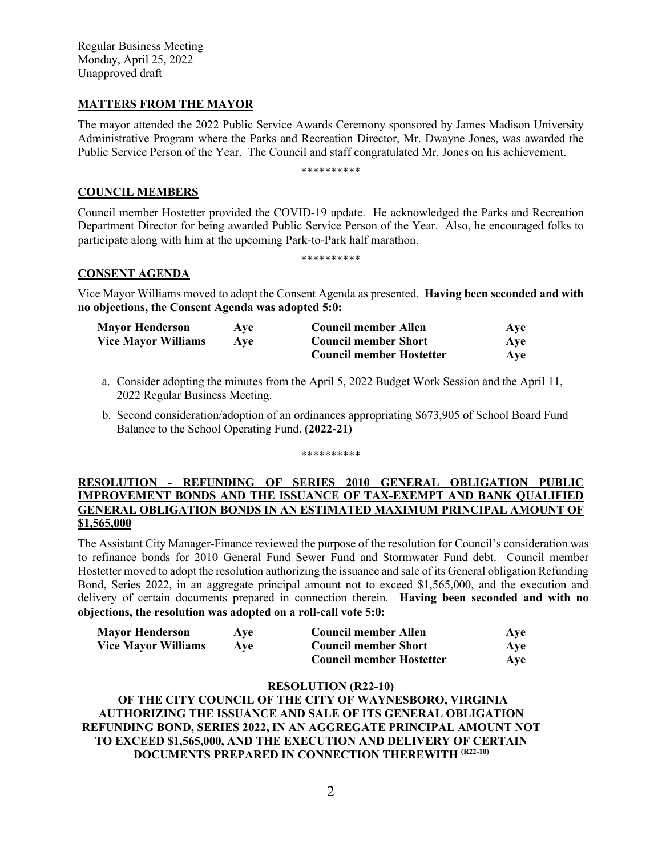# **MATTERS FROM THE MAYOR**

The mayor attended the 2022 Public Service Awards Ceremony sponsored by James Madison University Administrative Program where the Parks and Recreation Director, Mr. Dwayne Jones, was awarded the Public Service Person of the Year. The Council and staff congratulated Mr. Jones on his achievement.

#### \*\*\*\*\*\*\*\*\*\*

# **COUNCIL MEMBERS**

Council member Hostetter provided the COVID-19 update. He acknowledged the Parks and Recreation Department Director for being awarded Public Service Person of the Year. Also, he encouraged folks to participate along with him at the upcoming Park-to-Park half marathon.

#### \*\*\*\*\*\*\*\*\*\*

# **CONSENT AGENDA**

Vice Mayor Williams moved to adopt the Consent Agenda as presented. **Having been seconded and with no objections, the Consent Agenda was adopted 5:0:**

| <b>Mayor Henderson</b>     | Ave | <b>Council member Allen</b>     | Aye |
|----------------------------|-----|---------------------------------|-----|
| <b>Vice Mayor Williams</b> | Ave | <b>Council member Short</b>     | Ave |
|                            |     | <b>Council member Hostetter</b> | Aye |

- a. Consider adopting the minutes from the April 5, 2022 Budget Work Session and the April 11, 2022 Regular Business Meeting.
- b. Second consideration/adoption of an ordinances appropriating \$673,905 of School Board Fund Balance to the School Operating Fund. **(2022-21)**

#### \*\*\*\*\*\*\*\*\*\*

# **RESOLUTION - REFUNDING OF SERIES 2010 GENERAL OBLIGATION PUBLIC IMPROVEMENT BONDS AND THE ISSUANCE OF TAX-EXEMPT AND BANK QUALIFIED GENERAL OBLIGATION BONDS IN AN ESTIMATED MAXIMUM PRINCIPAL AMOUNT OF \$1,565,000**

The Assistant City Manager-Finance reviewed the purpose of the resolution for Council's consideration was to refinance bonds for 2010 General Fund Sewer Fund and Stormwater Fund debt. Council member Hostetter moved to adopt the resolution authorizing the issuance and sale of its General obligation Refunding Bond, Series 2022, in an aggregate principal amount not to exceed \$1,565,000, and the execution and delivery of certain documents prepared in connection therein. **Having been seconded and with no objections, the resolution was adopted on a roll-call vote 5:0:**

| <b>Mayor Henderson</b>     | Ave | <b>Council member Allen</b>     | Ave |
|----------------------------|-----|---------------------------------|-----|
| <b>Vice Mayor Williams</b> | Ave | <b>Council member Short</b>     | Ave |
|                            |     | <b>Council member Hostetter</b> | Aye |

#### **RESOLUTION (R22-10)**

**OF THE CITY COUNCIL OF THE CITY OF WAYNESBORO, VIRGINIA AUTHORIZING THE ISSUANCE AND SALE OF ITS GENERAL OBLIGATION REFUNDING BOND, SERIES 2022, IN AN AGGREGATE PRINCIPAL AMOUNT NOT TO EXCEED \$1,565,000, AND THE EXECUTION AND DELIVERY OF CERTAIN DOCUMENTS PREPARED IN CONNECTION THEREWITH (R22-10)**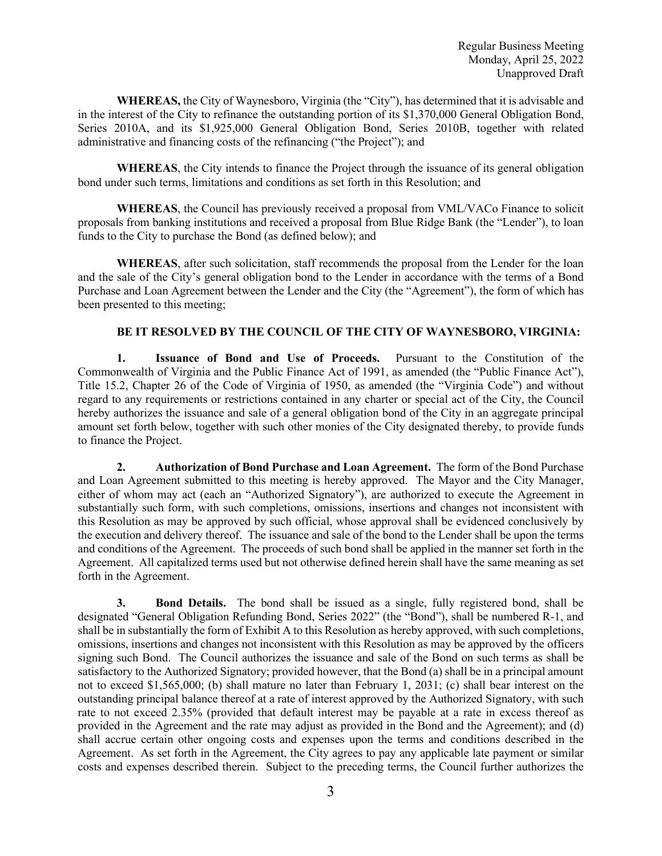**WHEREAS,** the City of Waynesboro, Virginia (the "City"), has determined that it is advisable and in the interest of the City to refinance the outstanding portion of its \$1,370,000 General Obligation Bond, Series 2010A, and its \$1,925,000 General Obligation Bond, Series 2010B, together with related administrative and financing costs of the refinancing ("the Project"); and

**WHEREAS**, the City intends to finance the Project through the issuance of its general obligation bond under such terms, limitations and conditions as set forth in this Resolution; and

**WHEREAS**, the Council has previously received a proposal from VML/VACo Finance to solicit proposals from banking institutions and received a proposal from Blue Ridge Bank (the "Lender"), to loan funds to the City to purchase the Bond (as defined below); and

**WHEREAS**, after such solicitation, staff recommends the proposal from the Lender for the loan and the sale of the City's general obligation bond to the Lender in accordance with the terms of a Bond Purchase and Loan Agreement between the Lender and the City (the "Agreement"), the form of which has been presented to this meeting;

# **BE IT RESOLVED BY THE COUNCIL OF THE CITY OF WAYNESBORO, VIRGINIA:**

**1. Issuance of Bond and Use of Proceeds.** Pursuant to the Constitution of the Commonwealth of Virginia and the Public Finance Act of 1991, as amended (the "Public Finance Act"), Title 15.2, Chapter 26 of the Code of Virginia of 1950, as amended (the "Virginia Code") and without regard to any requirements or restrictions contained in any charter or special act of the City, the Council hereby authorizes the issuance and sale of a general obligation bond of the City in an aggregate principal amount set forth below, together with such other monies of the City designated thereby, to provide funds to finance the Project.

**2. Authorization of Bond Purchase and Loan Agreement.** The form of the Bond Purchase and Loan Agreement submitted to this meeting is hereby approved. The Mayor and the City Manager, either of whom may act (each an "Authorized Signatory"), are authorized to execute the Agreement in substantially such form, with such completions, omissions, insertions and changes not inconsistent with this Resolution as may be approved by such official, whose approval shall be evidenced conclusively by the execution and delivery thereof. The issuance and sale of the bond to the Lender shall be upon the terms and conditions of the Agreement. The proceeds of such bond shall be applied in the manner set forth in the Agreement. All capitalized terms used but not otherwise defined herein shall have the same meaning as set forth in the Agreement.

**3. Bond Details.** The bond shall be issued as a single, fully registered bond, shall be designated "General Obligation Refunding Bond, Series 2022" (the "Bond"), shall be numbered R-1, and shall be in substantially the form of Exhibit A to this Resolution as hereby approved, with such completions, omissions, insertions and changes not inconsistent with this Resolution as may be approved by the officers signing such Bond. The Council authorizes the issuance and sale of the Bond on such terms as shall be satisfactory to the Authorized Signatory; provided however, that the Bond (a) shall be in a principal amount not to exceed \$1,565,000; (b) shall mature no later than February 1, 2031; (c) shall bear interest on the outstanding principal balance thereof at a rate of interest approved by the Authorized Signatory, with such rate to not exceed 2.35% (provided that default interest may be payable at a rate in excess thereof as provided in the Agreement and the rate may adjust as provided in the Bond and the Agreement); and (d) shall accrue certain other ongoing costs and expenses upon the terms and conditions described in the Agreement. As set forth in the Agreement, the City agrees to pay any applicable late payment or similar costs and expenses described therein. Subject to the preceding terms, the Council further authorizes the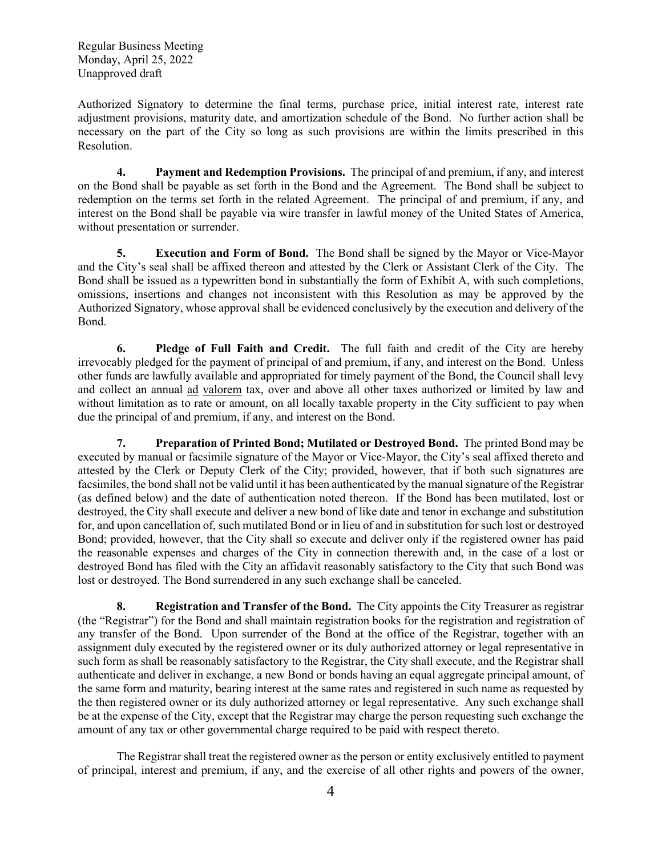Authorized Signatory to determine the final terms, purchase price, initial interest rate, interest rate adjustment provisions, maturity date, and amortization schedule of the Bond. No further action shall be necessary on the part of the City so long as such provisions are within the limits prescribed in this Resolution.

**4. Payment and Redemption Provisions.** The principal of and premium, if any, and interest on the Bond shall be payable as set forth in the Bond and the Agreement. The Bond shall be subject to redemption on the terms set forth in the related Agreement. The principal of and premium, if any, and interest on the Bond shall be payable via wire transfer in lawful money of the United States of America, without presentation or surrender.

**5. Execution and Form of Bond.** The Bond shall be signed by the Mayor or Vice-Mayor and the City's seal shall be affixed thereon and attested by the Clerk or Assistant Clerk of the City. The Bond shall be issued as a typewritten bond in substantially the form of Exhibit A, with such completions, omissions, insertions and changes not inconsistent with this Resolution as may be approved by the Authorized Signatory, whose approval shall be evidenced conclusively by the execution and delivery of the Bond.

**6. Pledge of Full Faith and Credit.** The full faith and credit of the City are hereby irrevocably pledged for the payment of principal of and premium, if any, and interest on the Bond. Unless other funds are lawfully available and appropriated for timely payment of the Bond, the Council shall levy and collect an annual ad valorem tax, over and above all other taxes authorized or limited by law and without limitation as to rate or amount, on all locally taxable property in the City sufficient to pay when due the principal of and premium, if any, and interest on the Bond.

**7. Preparation of Printed Bond; Mutilated or Destroyed Bond.** The printed Bond may be executed by manual or facsimile signature of the Mayor or Vice-Mayor, the City's seal affixed thereto and attested by the Clerk or Deputy Clerk of the City; provided, however, that if both such signatures are facsimiles, the bond shall not be valid until it has been authenticated by the manual signature of the Registrar (as defined below) and the date of authentication noted thereon. If the Bond has been mutilated, lost or destroyed, the City shall execute and deliver a new bond of like date and tenor in exchange and substitution for, and upon cancellation of, such mutilated Bond or in lieu of and in substitution for such lost or destroyed Bond; provided, however, that the City shall so execute and deliver only if the registered owner has paid the reasonable expenses and charges of the City in connection therewith and, in the case of a lost or destroyed Bond has filed with the City an affidavit reasonably satisfactory to the City that such Bond was lost or destroyed. The Bond surrendered in any such exchange shall be canceled.

**8. Registration and Transfer of the Bond.** The City appoints the City Treasurer as registrar (the "Registrar") for the Bond and shall maintain registration books for the registration and registration of any transfer of the Bond. Upon surrender of the Bond at the office of the Registrar, together with an assignment duly executed by the registered owner or its duly authorized attorney or legal representative in such form as shall be reasonably satisfactory to the Registrar, the City shall execute, and the Registrar shall authenticate and deliver in exchange, a new Bond or bonds having an equal aggregate principal amount, of the same form and maturity, bearing interest at the same rates and registered in such name as requested by the then registered owner or its duly authorized attorney or legal representative. Any such exchange shall be at the expense of the City, except that the Registrar may charge the person requesting such exchange the amount of any tax or other governmental charge required to be paid with respect thereto.

The Registrar shall treat the registered owner as the person or entity exclusively entitled to payment of principal, interest and premium, if any, and the exercise of all other rights and powers of the owner,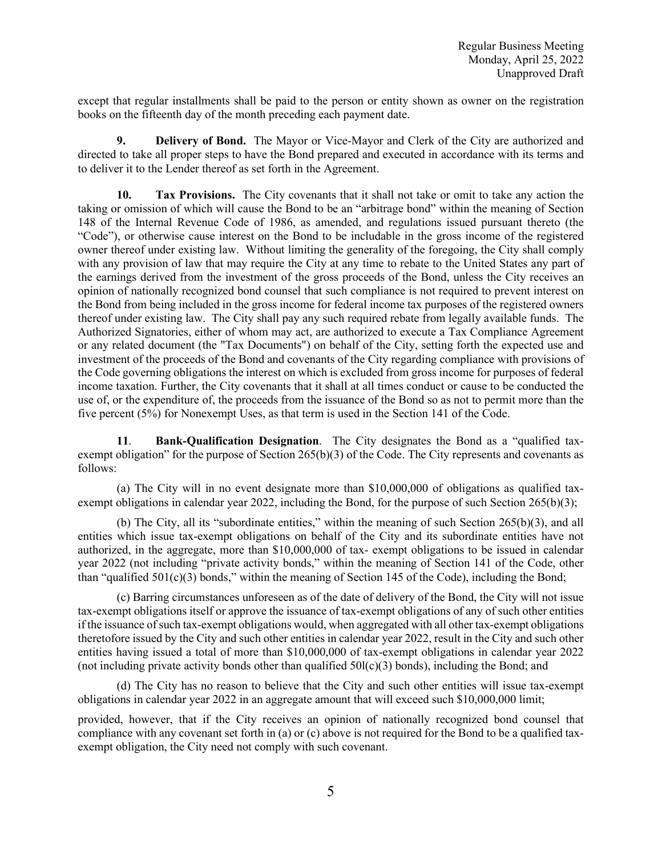except that regular installments shall be paid to the person or entity shown as owner on the registration books on the fifteenth day of the month preceding each payment date.

**9. Delivery of Bond.** The Mayor or Vice-Mayor and Clerk of the City are authorized and directed to take all proper steps to have the Bond prepared and executed in accordance with its terms and to deliver it to the Lender thereof as set forth in the Agreement.

**10. Tax Provisions.** The City covenants that it shall not take or omit to take any action the taking or omission of which will cause the Bond to be an "arbitrage bond" within the meaning of Section 148 of the Internal Revenue Code of 1986, as amended, and regulations issued pursuant thereto (the "Code"), or otherwise cause interest on the Bond to be includable in the gross income of the registered owner thereof under existing law. Without limiting the generality of the foregoing, the City shall comply with any provision of law that may require the City at any time to rebate to the United States any part of the earnings derived from the investment of the gross proceeds of the Bond, unless the City receives an opinion of nationally recognized bond counsel that such compliance is not required to prevent interest on the Bond from being included in the gross income for federal income tax purposes of the registered owners thereof under existing law. The City shall pay any such required rebate from legally available funds. The Authorized Signatories, either of whom may act, are authorized to execute a Tax Compliance Agreement or any related document (the "Tax Documents") on behalf of the City, setting forth the expected use and investment of the proceeds of the Bond and covenants of the City regarding compliance with provisions of the Code governing obligations the interest on which is excluded from gross income for purposes of federal income taxation. Further, the City covenants that it shall at all times conduct or cause to be conducted the use of, or the expenditure of, the proceeds from the issuance of the Bond so as not to permit more than the five percent (5%) for Nonexempt Uses, as that term is used in the Section 141 of the Code.

**11**. **Bank-Qualification Designation**. The City designates the Bond as a "qualified taxexempt obligation" for the purpose of Section 265(b)(3) of the Code. The City represents and covenants as follows:

(a) The City will in no event designate more than \$10,000,000 of obligations as qualified taxexempt obligations in calendar year 2022, including the Bond, for the purpose of such Section 265(b)(3);

(b) The City, all its "subordinate entities," within the meaning of such Section 265(b)(3), and all entities which issue tax-exempt obligations on behalf of the City and its subordinate entities have not authorized, in the aggregate, more than \$10,000,000 of tax- exempt obligations to be issued in calendar year 2022 (not including "private activity bonds," within the meaning of Section 141 of the Code, other than "qualified  $501(c)(3)$  bonds," within the meaning of Section 145 of the Code), including the Bond;

(c) Barring circumstances unforeseen as of the date of delivery of the Bond, the City will not issue tax-exempt obligations itself or approve the issuance of tax-exempt obligations of any of such other entities if the issuance of such tax-exempt obligations would, when aggregated with all other tax-exempt obligations theretofore issued by the City and such other entities in calendar year 2022, result in the City and such other entities having issued a total of more than \$10,000,000 of tax-exempt obligations in calendar year 2022 (not including private activity bonds other than qualified  $50I(c)(3)$  bonds), including the Bond; and

(d) The City has no reason to believe that the City and such other entities will issue tax-exempt obligations in calendar year 2022 in an aggregate amount that will exceed such \$10,000,000 limit;

provided, however, that if the City receives an opinion of nationally recognized bond counsel that compliance with any covenant set forth in (a) or (c) above is not required for the Bond to be a qualified taxexempt obligation, the City need not comply with such covenant.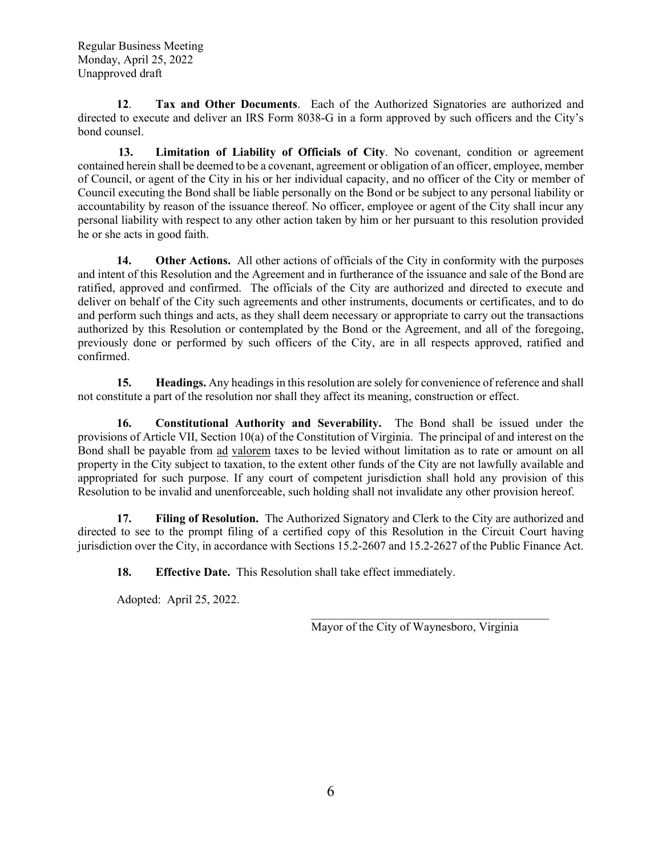**12**. **Tax and Other Documents**. Each of the Authorized Signatories are authorized and directed to execute and deliver an IRS Form 8038-G in a form approved by such officers and the City's bond counsel.

**13. Limitation of Liability of Officials of City**. No covenant, condition or agreement contained herein shall be deemed to be a covenant, agreement or obligation of an officer, employee, member of Council, or agent of the City in his or her individual capacity, and no officer of the City or member of Council executing the Bond shall be liable personally on the Bond or be subject to any personal liability or accountability by reason of the issuance thereof. No officer, employee or agent of the City shall incur any personal liability with respect to any other action taken by him or her pursuant to this resolution provided he or she acts in good faith.

**14. Other Actions.** All other actions of officials of the City in conformity with the purposes and intent of this Resolution and the Agreement and in furtherance of the issuance and sale of the Bond are ratified, approved and confirmed. The officials of the City are authorized and directed to execute and deliver on behalf of the City such agreements and other instruments, documents or certificates, and to do and perform such things and acts, as they shall deem necessary or appropriate to carry out the transactions authorized by this Resolution or contemplated by the Bond or the Agreement, and all of the foregoing, previously done or performed by such officers of the City, are in all respects approved, ratified and confirmed.

**15. Headings.** Any headings in this resolution are solely for convenience of reference and shall not constitute a part of the resolution nor shall they affect its meaning, construction or effect.

**16. Constitutional Authority and Severability.** The Bond shall be issued under the provisions of Article VII, Section 10(a) of the Constitution of Virginia. The principal of and interest on the Bond shall be payable from ad valorem taxes to be levied without limitation as to rate or amount on all property in the City subject to taxation, to the extent other funds of the City are not lawfully available and appropriated for such purpose. If any court of competent jurisdiction shall hold any provision of this Resolution to be invalid and unenforceable, such holding shall not invalidate any other provision hereof.

**17. Filing of Resolution.** The Authorized Signatory and Clerk to the City are authorized and directed to see to the prompt filing of a certified copy of this Resolution in the Circuit Court having jurisdiction over the City, in accordance with Sections 15.2-2607 and 15.2-2627 of the Public Finance Act.

**18. Effective Date.** This Resolution shall take effect immediately.

Adopted: April 25, 2022.

Mayor of the City of Waynesboro, Virginia

 $\mathcal{L}_\text{max}$  , where  $\mathcal{L}_\text{max}$  and  $\mathcal{L}_\text{max}$  and  $\mathcal{L}_\text{max}$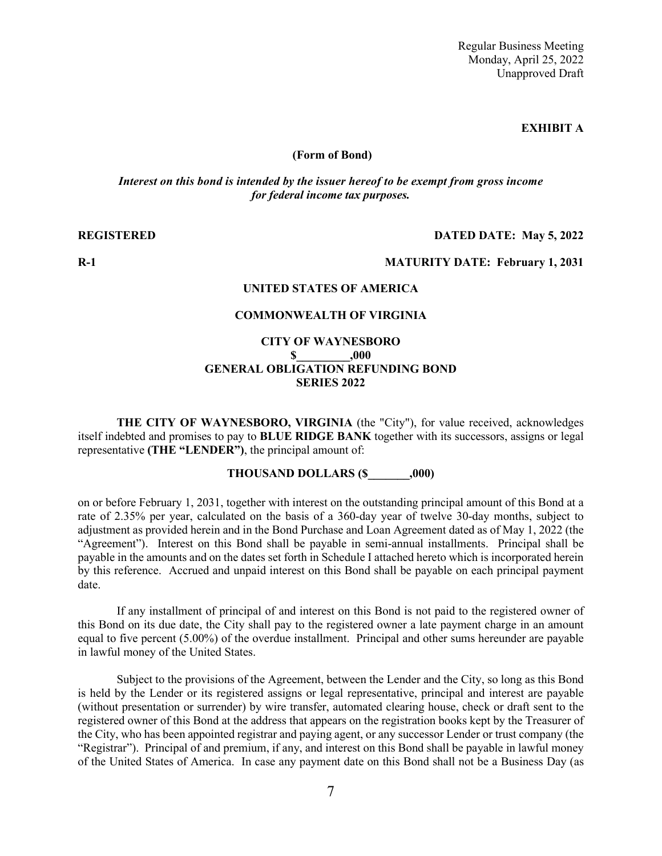#### **EXHIBIT A**

#### **(Form of Bond)**

# *Interest on this bond is intended by the issuer hereof to be exempt from gross income for federal income tax purposes.*

#### **REGISTERED DATED DATE: May 5, 2022**

#### **R-1 MATURITY DATE: February 1, 2031**

#### **UNITED STATES OF AMERICA**

#### **COMMONWEALTH OF VIRGINIA**

#### **CITY OF WAYNESBORO \$\_\_\_\_\_\_\_\_\_,000 GENERAL OBLIGATION REFUNDING BOND SERIES 2022**

**THE CITY OF WAYNESBORO, VIRGINIA** (the "City"), for value received, acknowledges itself indebted and promises to pay to **BLUE RIDGE BANK** together with its successors, assigns or legal representative **(THE "LENDER")**, the principal amount of:

# **THOUSAND DOLLARS (\$\_\_\_\_\_\_\_,000)**

on or before February 1, 2031, together with interest on the outstanding principal amount of this Bond at a rate of 2.35% per year, calculated on the basis of a 360-day year of twelve 30-day months, subject to adjustment as provided herein and in the Bond Purchase and Loan Agreement dated as of May 1, 2022 (the "Agreement"). Interest on this Bond shall be payable in semi-annual installments. Principal shall be payable in the amounts and on the dates set forth in Schedule I attached hereto which is incorporated herein by this reference. Accrued and unpaid interest on this Bond shall be payable on each principal payment date.

If any installment of principal of and interest on this Bond is not paid to the registered owner of this Bond on its due date, the City shall pay to the registered owner a late payment charge in an amount equal to five percent (5.00%) of the overdue installment. Principal and other sums hereunder are payable in lawful money of the United States.

Subject to the provisions of the Agreement, between the Lender and the City, so long as this Bond is held by the Lender or its registered assigns or legal representative, principal and interest are payable (without presentation or surrender) by wire transfer, automated clearing house, check or draft sent to the registered owner of this Bond at the address that appears on the registration books kept by the Treasurer of the City, who has been appointed registrar and paying agent, or any successor Lender or trust company (the "Registrar"). Principal of and premium, if any, and interest on this Bond shall be payable in lawful money of the United States of America. In case any payment date on this Bond shall not be a Business Day (as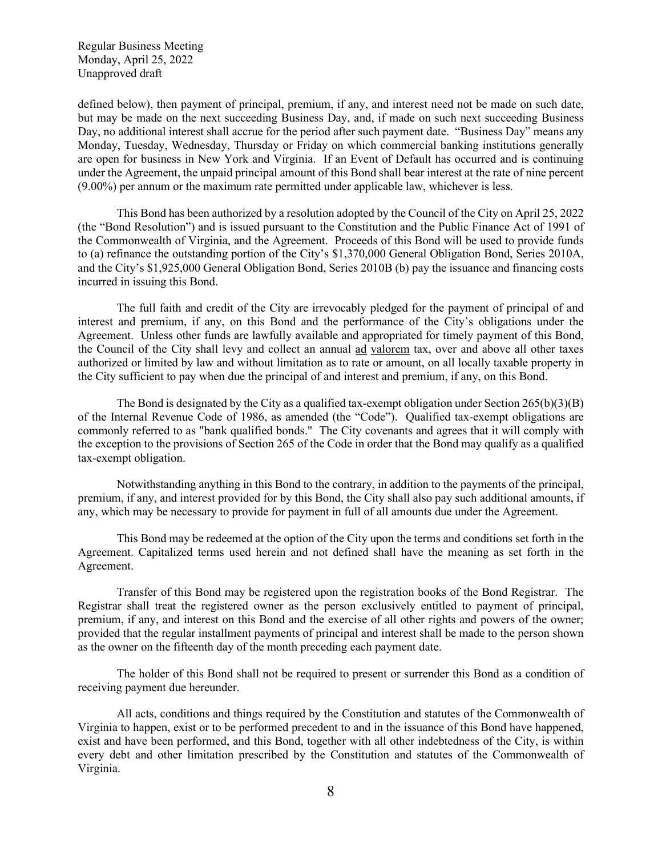defined below), then payment of principal, premium, if any, and interest need not be made on such date, but may be made on the next succeeding Business Day, and, if made on such next succeeding Business Day, no additional interest shall accrue for the period after such payment date. "Business Day" means any Monday, Tuesday, Wednesday, Thursday or Friday on which commercial banking institutions generally are open for business in New York and Virginia. If an Event of Default has occurred and is continuing under the Agreement, the unpaid principal amount of this Bond shall bear interest at the rate of nine percent (9.00%) per annum or the maximum rate permitted under applicable law, whichever is less.

This Bond has been authorized by a resolution adopted by the Council of the City on April 25, 2022 (the "Bond Resolution") and is issued pursuant to the Constitution and the Public Finance Act of 1991 of the Commonwealth of Virginia, and the Agreement. Proceeds of this Bond will be used to provide funds to (a) refinance the outstanding portion of the City's \$1,370,000 General Obligation Bond, Series 2010A, and the City's \$1,925,000 General Obligation Bond, Series 2010B (b) pay the issuance and financing costs incurred in issuing this Bond.

The full faith and credit of the City are irrevocably pledged for the payment of principal of and interest and premium, if any, on this Bond and the performance of the City's obligations under the Agreement. Unless other funds are lawfully available and appropriated for timely payment of this Bond, the Council of the City shall levy and collect an annual ad valorem tax, over and above all other taxes authorized or limited by law and without limitation as to rate or amount, on all locally taxable property in the City sufficient to pay when due the principal of and interest and premium, if any, on this Bond.

The Bond is designated by the City as a qualified tax-exempt obligation under Section  $265(b)(3)(B)$ of the Internal Revenue Code of 1986, as amended (the "Code"). Qualified tax-exempt obligations are commonly referred to as "bank qualified bonds." The City covenants and agrees that it will comply with the exception to the provisions of Section 265 of the Code in order that the Bond may qualify as a qualified tax-exempt obligation.

Notwithstanding anything in this Bond to the contrary, in addition to the payments of the principal, premium, if any, and interest provided for by this Bond, the City shall also pay such additional amounts, if any, which may be necessary to provide for payment in full of all amounts due under the Agreement.

This Bond may be redeemed at the option of the City upon the terms and conditions set forth in the Agreement. Capitalized terms used herein and not defined shall have the meaning as set forth in the Agreement.

Transfer of this Bond may be registered upon the registration books of the Bond Registrar. The Registrar shall treat the registered owner as the person exclusively entitled to payment of principal, premium, if any, and interest on this Bond and the exercise of all other rights and powers of the owner; provided that the regular installment payments of principal and interest shall be made to the person shown as the owner on the fifteenth day of the month preceding each payment date.

The holder of this Bond shall not be required to present or surrender this Bond as a condition of receiving payment due hereunder.

All acts, conditions and things required by the Constitution and statutes of the Commonwealth of Virginia to happen, exist or to be performed precedent to and in the issuance of this Bond have happened, exist and have been performed, and this Bond, together with all other indebtedness of the City, is within every debt and other limitation prescribed by the Constitution and statutes of the Commonwealth of Virginia.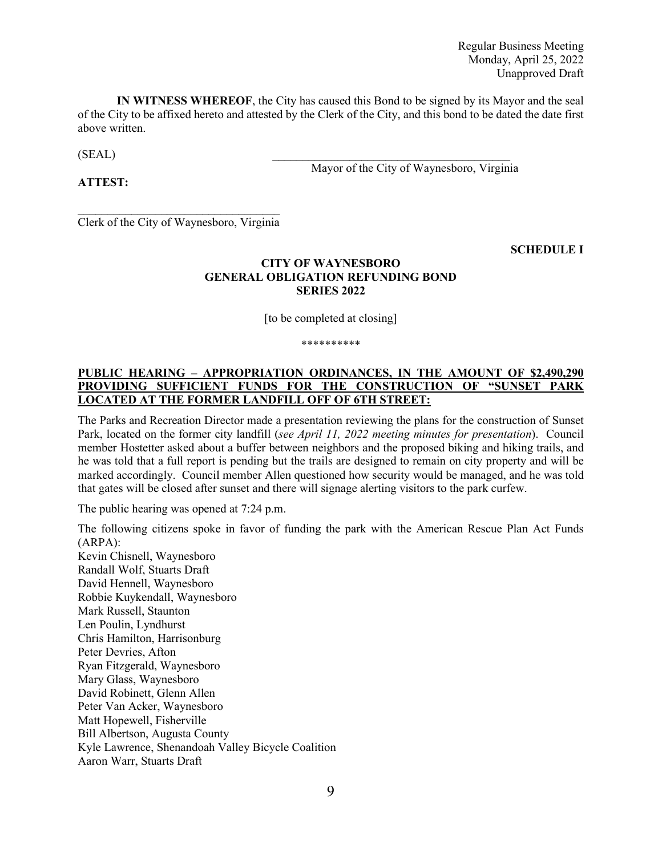**IN WITNESS WHEREOF**, the City has caused this Bond to be signed by its Mayor and the seal of the City to be affixed hereto and attested by the Clerk of the City, and this bond to be dated the date first above written.

 $(SEAL)$ 

Mayor of the City of Waynesboro, Virginia

**ATTEST:**

 $\overline{\phantom{a}}$  , and the set of the set of the set of the set of the set of the set of the set of the set of the set of the set of the set of the set of the set of the set of the set of the set of the set of the set of the s Clerk of the City of Waynesboro, Virginia

**SCHEDULE I** 

#### **CITY OF WAYNESBORO GENERAL OBLIGATION REFUNDING BOND SERIES 2022**

[to be completed at closing]

\*\*\*\*\*\*\*\*\*\*

# **PUBLIC HEARING – APPROPRIATION ORDINANCES, IN THE AMOUNT OF \$2,490,290 PROVIDING SUFFICIENT FUNDS FOR THE CONSTRUCTION OF "SUNSET PARK LOCATED AT THE FORMER LANDFILL OFF OF 6TH STREET:**

The Parks and Recreation Director made a presentation reviewing the plans for the construction of Sunset Park, located on the former city landfill (*see April 11, 2022 meeting minutes for presentation*). Council member Hostetter asked about a buffer between neighbors and the proposed biking and hiking trails, and he was told that a full report is pending but the trails are designed to remain on city property and will be marked accordingly. Council member Allen questioned how security would be managed, and he was told that gates will be closed after sunset and there will signage alerting visitors to the park curfew.

The public hearing was opened at 7:24 p.m.

The following citizens spoke in favor of funding the park with the American Rescue Plan Act Funds (ARPA): Kevin Chisnell, Waynesboro Randall Wolf, Stuarts Draft David Hennell, Waynesboro Robbie Kuykendall, Waynesboro Mark Russell, Staunton Len Poulin, Lyndhurst Chris Hamilton, Harrisonburg Peter Devries, Afton Ryan Fitzgerald, Waynesboro Mary Glass, Waynesboro David Robinett, Glenn Allen Peter Van Acker, Waynesboro Matt Hopewell, Fisherville Bill Albertson, Augusta County Kyle Lawrence, Shenandoah Valley Bicycle Coalition Aaron Warr, Stuarts Draft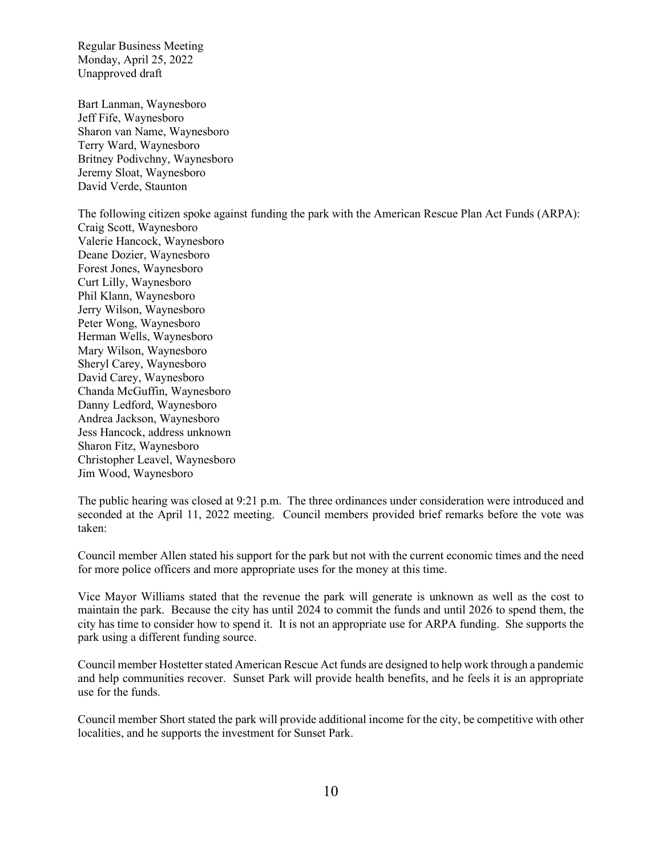Bart Lanman, Waynesboro Jeff Fife, Waynesboro Sharon van Name, Waynesboro Terry Ward, Waynesboro Britney Podivchny, Waynesboro Jeremy Sloat, Waynesboro David Verde, Staunton

The following citizen spoke against funding the park with the American Rescue Plan Act Funds (ARPA): Craig Scott, Waynesboro Valerie Hancock, Waynesboro Deane Dozier, Waynesboro Forest Jones, Waynesboro Curt Lilly, Waynesboro Phil Klann, Waynesboro Jerry Wilson, Waynesboro Peter Wong, Waynesboro Herman Wells, Waynesboro Mary Wilson, Waynesboro Sheryl Carey, Waynesboro David Carey, Waynesboro Chanda McGuffin, Waynesboro Danny Ledford, Waynesboro Andrea Jackson, Waynesboro Jess Hancock, address unknown Sharon Fitz, Waynesboro Christopher Leavel, Waynesboro

Jim Wood, Waynesboro

The public hearing was closed at 9:21 p.m. The three ordinances under consideration were introduced and seconded at the April 11, 2022 meeting. Council members provided brief remarks before the vote was taken:

Council member Allen stated his support for the park but not with the current economic times and the need for more police officers and more appropriate uses for the money at this time.

Vice Mayor Williams stated that the revenue the park will generate is unknown as well as the cost to maintain the park. Because the city has until 2024 to commit the funds and until 2026 to spend them, the city has time to consider how to spend it. It is not an appropriate use for ARPA funding. She supports the park using a different funding source.

Council member Hostetter stated American Rescue Act funds are designed to help work through a pandemic and help communities recover. Sunset Park will provide health benefits, and he feels it is an appropriate use for the funds.

Council member Short stated the park will provide additional income for the city, be competitive with other localities, and he supports the investment for Sunset Park.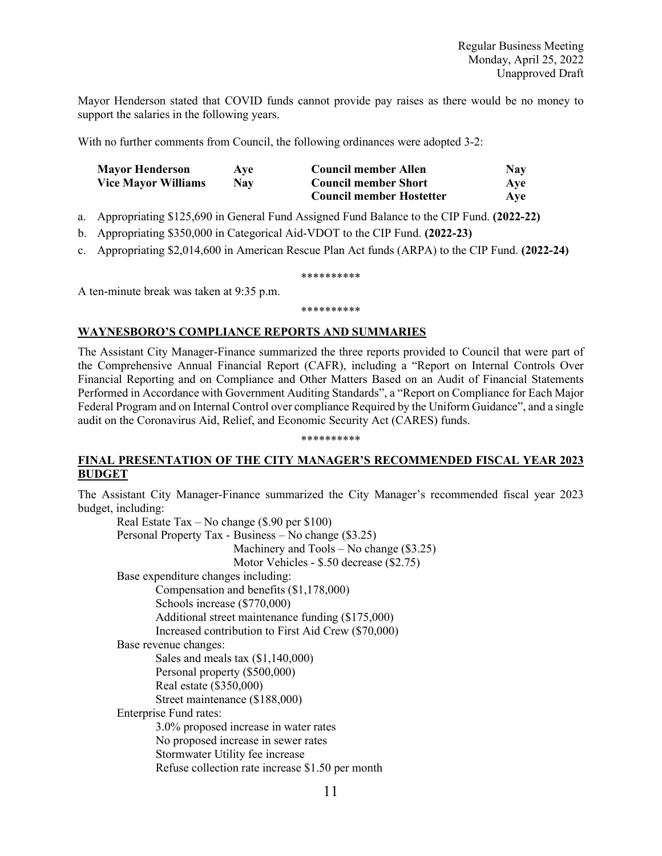Mayor Henderson stated that COVID funds cannot provide pay raises as there would be no money to support the salaries in the following years.

With no further comments from Council, the following ordinances were adopted 3-2:

| <b>Mayor Henderson</b>     | Ave | <b>Council member Allen</b>     | <b>Nay</b> |
|----------------------------|-----|---------------------------------|------------|
| <b>Vice Mayor Williams</b> | Nav | <b>Council member Short</b>     | Ave        |
|                            |     | <b>Council member Hostetter</b> | Aye        |

- a. Appropriating \$125,690 in General Fund Assigned Fund Balance to the CIP Fund. **(2022-22)**
- b. Appropriating \$350,000 in Categorical Aid-VDOT to the CIP Fund. **(2022-23)**
- c. Appropriating \$2,014,600 in American Rescue Plan Act funds (ARPA) to the CIP Fund. **(2022-24)**

\*\*\*\*\*\*\*\*\*\*

A ten-minute break was taken at 9:35 p.m.

#### \*\*\*\*\*\*\*\*\*\*

#### **WAYNESBORO'S COMPLIANCE REPORTS AND SUMMARIES**

The Assistant City Manager-Finance summarized the three reports provided to Council that were part of the Comprehensive Annual Financial Report (CAFR), including a "Report on Internal Controls Over Financial Reporting and on Compliance and Other Matters Based on an Audit of Financial Statements Performed in Accordance with Government Auditing Standards", a "Report on Compliance for Each Major Federal Program and on Internal Control over compliance Required by the Uniform Guidance", and a single audit on the Coronavirus Aid, Relief, and Economic Security Act (CARES) funds.

#### \*\*\*\*\*\*\*\*\*\*

# **FINAL PRESENTATION OF THE CITY MANAGER'S RECOMMENDED FISCAL YEAR 2023 BUDGET**

The Assistant City Manager-Finance summarized the City Manager's recommended fiscal year 2023 budget, including:

Real Estate Tax – No change (\$.90 per \$100) Personal Property Tax - Business – No change (\$3.25) Machinery and Tools – No change (\$3.25) Motor Vehicles - \$.50 decrease (\$2.75) Base expenditure changes including: Compensation and benefits (\$1,178,000) Schools increase (\$770,000) Additional street maintenance funding (\$175,000) Increased contribution to First Aid Crew (\$70,000) Base revenue changes: Sales and meals tax (\$1,140,000) Personal property (\$500,000) Real estate (\$350,000) Street maintenance (\$188,000) Enterprise Fund rates: 3.0% proposed increase in water rates No proposed increase in sewer rates Stormwater Utility fee increase Refuse collection rate increase \$1.50 per month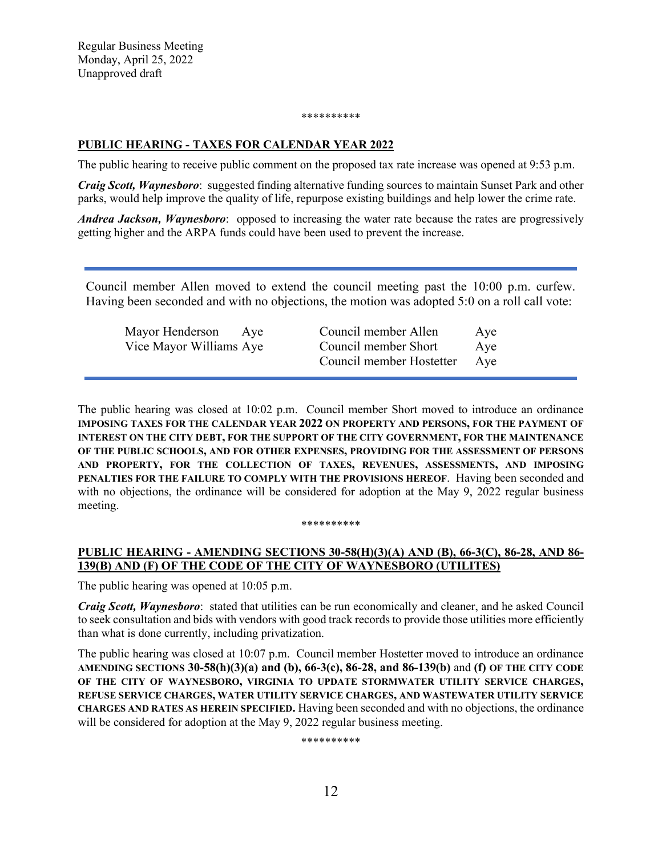#### \*\*\*\*\*\*\*\*\*\*

#### **PUBLIC HEARING - TAXES FOR CALENDAR YEAR 2022**

The public hearing to receive public comment on the proposed tax rate increase was opened at 9:53 p.m.

*Craig Scott, Waynesboro*: suggested finding alternative funding sources to maintain Sunset Park and other parks, would help improve the quality of life, repurpose existing buildings and help lower the crime rate.

*Andrea Jackson, Waynesboro*: opposed to increasing the water rate because the rates are progressively getting higher and the ARPA funds could have been used to prevent the increase.

Council member Allen moved to extend the council meeting past the 10:00 p.m. curfew. Having been seconded and with no objections, the motion was adopted 5:0 on a roll call vote:

| Mayor Henderson Aye     | Council member Allen         | Aye |
|-------------------------|------------------------------|-----|
| Vice Mayor Williams Aye | Council member Short         | Aye |
|                         | Council member Hostetter Aye |     |

The public hearing was closed at 10:02 p.m. Council member Short moved to introduce an ordinance **IMPOSING TAXES FOR THE CALENDAR YEAR 2022 ON PROPERTY AND PERSONS, FOR THE PAYMENT OF INTEREST ON THE CITY DEBT, FOR THE SUPPORT OF THE CITY GOVERNMENT, FOR THE MAINTENANCE OF THE PUBLIC SCHOOLS, AND FOR OTHER EXPENSES, PROVIDING FOR THE ASSESSMENT OF PERSONS AND PROPERTY, FOR THE COLLECTION OF TAXES, REVENUES, ASSESSMENTS, AND IMPOSING PENALTIES FOR THE FAILURE TO COMPLY WITH THE PROVISIONS HEREOF**. Having been seconded and with no objections, the ordinance will be considered for adoption at the May 9, 2022 regular business meeting.

#### \*\*\*\*\*\*\*\*\*\*

# **PUBLIC HEARING - AMENDING SECTIONS 30-58(H)(3)(A) AND (B), 66-3(C), 86-28, AND 86- 139(B) AND (F) OF THE CODE OF THE CITY OF WAYNESBORO (UTILITES)**

The public hearing was opened at 10:05 p.m.

*Craig Scott, Waynesboro*: stated that utilities can be run economically and cleaner, and he asked Council to seek consultation and bids with vendors with good track records to provide those utilities more efficiently than what is done currently, including privatization.

The public hearing was closed at 10:07 p.m. Council member Hostetter moved to introduce an ordinance **AMENDING SECTIONS 30-58(h)(3)(a) and (b), 66-3(c), 86-28, and 86-139(b)** and **(f) OF THE CITY CODE OF THE CITY OF WAYNESBORO, VIRGINIA TO UPDATE STORMWATER UTILITY SERVICE CHARGES, REFUSE SERVICE CHARGES, WATER UTILITY SERVICE CHARGES, AND WASTEWATER UTILITY SERVICE CHARGES AND RATES AS HEREIN SPECIFIED.** Having been seconded and with no objections, the ordinance will be considered for adoption at the May 9, 2022 regular business meeting.

\*\*\*\*\*\*\*\*\*\*